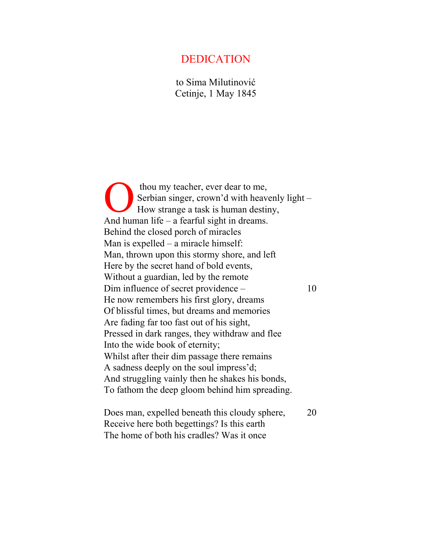## DEDICATION

to Sima Milutinović Cetinje, 1 May 1845

 thou my teacher, ever dear to me, Serbian singer, crown'd with heavenly light – How strange a task is human destiny, And human life – a fearful sight in dreams. Behind the closed porch of miracles Man is expelled – a miracle himself: Man, thrown upon this stormy shore, and left Here by the secret hand of bold events, Without a guardian, led by the remote Dim influence of secret providence – 10 He now remembers his first glory, dreams Of blissful times, but dreams and memories Are fading far too fast out of his sight, Pressed in dark ranges, they withdraw and flee Into the wide book of eternity; Whilst after their dim passage there remains A sadness deeply on the soul impress'd; And struggling vainly then he shakes his bonds, To fathom the deep gloom behind him spreading.  $\sum_{H_0}^{th}$ 

Does man, expelled beneath this cloudy sphere, 20 Receive here both begettings? Is this earth The home of both his cradles? Was it once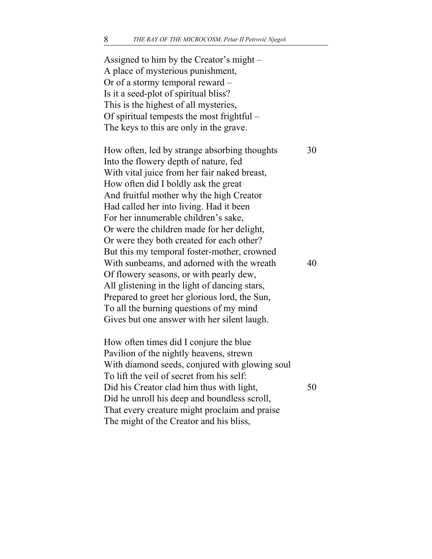Assigned to him by the Creator's might – A place of mysterious punishment, Or of a stormy temporal reward – Is it a seed-plot of spiritual bliss? This is the highest of all mysteries, Of spiritual tempests the most frightful – The keys to this are only in the grave. How often, led by strange absorbing thoughts 30 Into the flowery depth of nature, fed With vital juice from her fair naked breast, How often did I boldly ask the great And fruitful mother why the high Creator Had called her into living. Had it been For her innumerable children's sake, Or were the children made for her delight, Or were they both created for each other? But this my temporal foster-mother, crowned With sunbeams, and adorned with the wreath 40 Of flowery seasons, or with pearly dew, All glistening in the light of dancing stars, Prepared to greet her glorious lord, the Sun, To all the burning questions of my mind Gives but one answer with her silent laugh. How often times did I conjure the blue Pavilion of the nightly heavens, strewn With diamond seeds, conjured with glowing soul To lift the veil of secret from his self: Did his Creator clad him thus with light, 50 Did he unroll his deep and boundless scroll, That every creature might proclaim and praise The might of the Creator and his bliss,